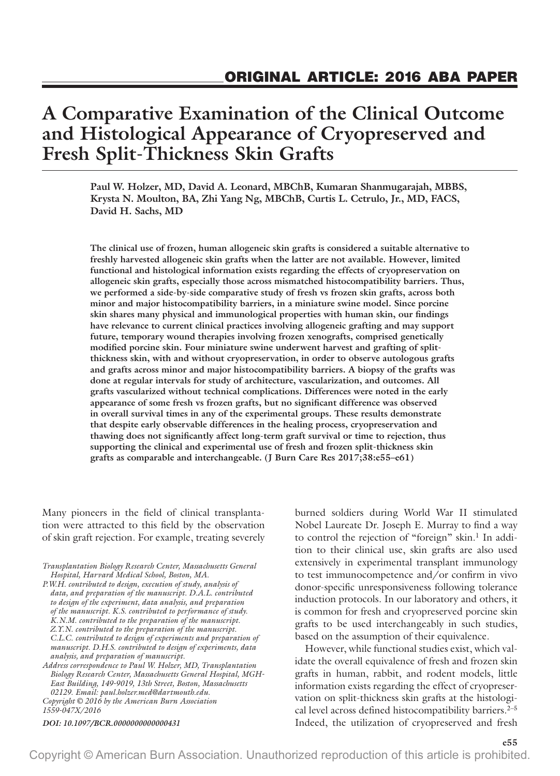# **A Comparative Examination of the Clinical Outcome and Histological Appearance of Cryopreserved and Fresh Split-Thickness Skin Grafts**

**Paul W. Holzer, MD, David A. Leonard, MBChB, Kumaran Shanmugarajah, MBBS, Krysta N. Moulton, BA, Zhi Yang Ng, MBChB, Curtis L. Cetrulo, Jr., MD, FACS, David H. Sachs, MD**

**The clinical use of frozen, human allogeneic skin grafts is considered a suitable alternative to freshly harvested allogeneic skin grafts when the latter are not available. However, limited functional and histological information exists regarding the effects of cryopreservation on allogeneic skin grafts, especially those across mismatched histocompatibility barriers. Thus, we performed a side-by-side comparative study of fresh vs frozen skin grafts, across both minor and major histocompatibility barriers, in a miniature swine model. Since porcine skin shares many physical and immunological properties with human skin, our findings have relevance to current clinical practices involving allogeneic grafting and may support future, temporary wound therapies involving frozen xenografts, comprised genetically modified porcine skin. Four miniature swine underwent harvest and grafting of splitthickness skin, with and without cryopreservation, in order to observe autologous grafts and grafts across minor and major histocompatibility barriers. A biopsy of the grafts was done at regular intervals for study of architecture, vascularization, and outcomes. All grafts vascularized without technical complications. Differences were noted in the early appearance of some fresh vs frozen grafts, but no significant difference was observed in overall survival times in any of the experimental groups. These results demonstrate that despite early observable differences in the healing process, cryopreservation and thawing does not significantly affect long-term graft survival or time to rejection, thus supporting the clinical and experimental use of fresh and frozen split-thickness skin grafts as comparable and interchangeable. (J Burn Care Res 2017;38:e55–e61)**

Many pioneers in the field of clinical transplantation were attracted to this field by the observation of skin graft rejection. For example, treating severely

*Transplantation Biology Research Center, Massachusetts General Hospital, Harvard Medical School, Boston, MA.*

*P.W.H. contributed to design, execution of study, analysis of data, and preparation of the manuscript. D.A.L. contributed to design of the experiment, data analysis, and preparation of the manuscript. K.S. contributed to performance of study. K.N.M. contributed to the preparation of the manuscript. Z.Y.N. contributed to the preparation of the manuscript. C.L.C. contributed to design of experiments and preparation of manuscript. D.H.S. contributed to design of experiments, data analysis, and preparation of manuscript.*

*Copyright © 2016 by the American Burn Association Address correspondence to Paul W. Holzer, MD, Transplantation Biology Research Center, Massachusetts General Hospital, MGH-East Building, 149-9019, 13th Street, Boston, Massachusetts 02129. Email: [paul.holzer.med@dartmouth.edu](mailto:paul.holzer.med@dartmouth.edu).*

*1559-047X/2016*

*DOI: 10.1097/BCR.0000000000000431*

burned soldiers during World War II stimulated Nobel Laureate Dr. Joseph E. Murray to find a way to control the rejection of "foreign" skin.<sup>1</sup> In addition to their clinical use, skin grafts are also used extensively in experimental transplant immunology to test immunocompetence and/or confirm in vivo donor-specific unresponsiveness following tolerance induction protocols. In our laboratory and others, it is common for fresh and cryopreserved porcine skin grafts to be used interchangeably in such studies, based on the assumption of their equivalence.

However, while functional studies exist, which validate the overall equivalence of fresh and frozen skin grafts in human, rabbit, and rodent models, little information exists regarding the effect of cryopreservation on split-thickness skin grafts at the histological level across defined histocompatibility barriers. $2-5$ Indeed, the utilization of cryopreserved and fresh

**e55**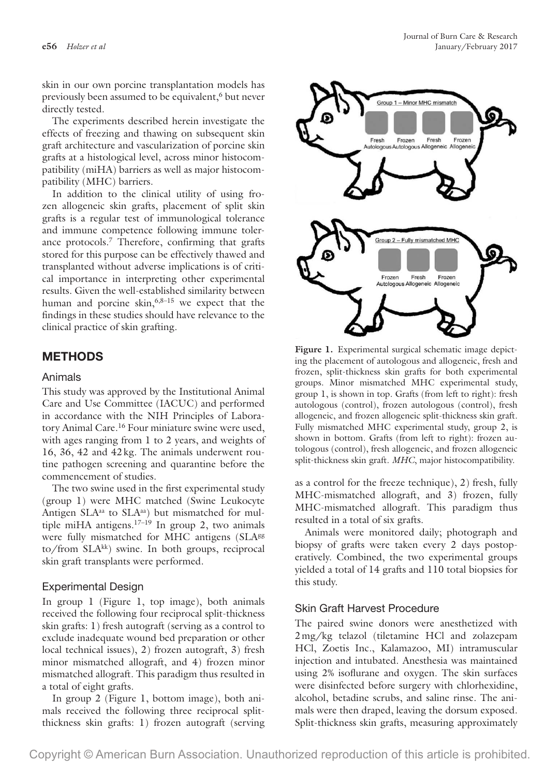skin in our own porcine transplantation models has previously been assumed to be equivalent,<sup>6</sup> but never directly tested.

The experiments described herein investigate the effects of freezing and thawing on subsequent skin graft architecture and vascularization of porcine skin grafts at a histological level, across minor histocompatibility (miHA) barriers as well as major histocompatibility (MHC) barriers.

In addition to the clinical utility of using frozen allogeneic skin grafts, placement of split skin grafts is a regular test of immunological tolerance and immune competence following immune tolerance protocols.7 Therefore, confirming that grafts stored for this purpose can be effectively thawed and transplanted without adverse implications is of critical importance in interpreting other experimental results. Given the well-established similarity between human and porcine skin,  $6,8-15$  we expect that the findings in these studies should have relevance to the clinical practice of skin grafting.

# **METHODS**

#### Animals

This study was approved by the Institutional Animal Care and Use Committee (IACUC) and performed in accordance with the NIH Principles of Laboratory Animal Care.<sup>16</sup> Four miniature swine were used, with ages ranging from 1 to 2 years, and weights of 16, 36, 42 and 42kg. The animals underwent routine pathogen screening and quarantine before the commencement of studies.

The two swine used in the first experimental study (group 1) were MHC matched (Swine Leukocyte Antigen SLA<sup>aa</sup> to SLA<sup>aa</sup>) but mismatched for multiple miHA antigens.17–19 In group 2, two animals were fully mismatched for MHC antigens (SLA<sup>gg</sup> to/from SLAkk) swine. In both groups, reciprocal skin graft transplants were performed.

## Experimental Design

In group 1 (Figure 1, top image), both animals received the following four reciprocal split-thickness skin grafts: 1) fresh autograft (serving as a control to exclude inadequate wound bed preparation or other local technical issues), 2) frozen autograft, 3) fresh minor mismatched allograft, and 4) frozen minor mismatched allograft. This paradigm thus resulted in a total of eight grafts.

In group 2 (Figure 1, bottom image), both animals received the following three reciprocal splitthickness skin grafts: 1) frozen autograft (serving



**Figure 1.** Experimental surgical schematic image depicting the placement of autologous and allogeneic, fresh and frozen, split-thickness skin grafts for both experimental groups. Minor mismatched MHC experimental study, group 1, is shown in top. Grafts (from left to right): fresh autologous (control), frozen autologous (control), fresh allogeneic, and frozen allogeneic split-thickness skin graft. Fully mismatched MHC experimental study, group 2, is shown in bottom. Grafts (from left to right): frozen autologous (control), fresh allogeneic, and frozen allogeneic split-thickness skin graft. *MHC*, major histocompatibility.

as a control for the freeze technique), 2) fresh, fully MHC-mismatched allograft, and 3) frozen, fully MHC-mismatched allograft. This paradigm thus resulted in a total of six grafts.

Animals were monitored daily; photograph and biopsy of grafts were taken every 2 days postoperatively. Combined, the two experimental groups yielded a total of 14 grafts and 110 total biopsies for this study.

## Skin Graft Harvest Procedure

The paired swine donors were anesthetized with 2mg/kg telazol (tiletamine HCl and zolazepam HCl, Zoetis Inc., Kalamazoo, MI) intramuscular injection and intubated. Anesthesia was maintained using 2% isoflurane and oxygen. The skin surfaces were disinfected before surgery with chlorhexidine, alcohol, betadine scrubs, and saline rinse. The animals were then draped, leaving the dorsum exposed. Split-thickness skin grafts, measuring approximately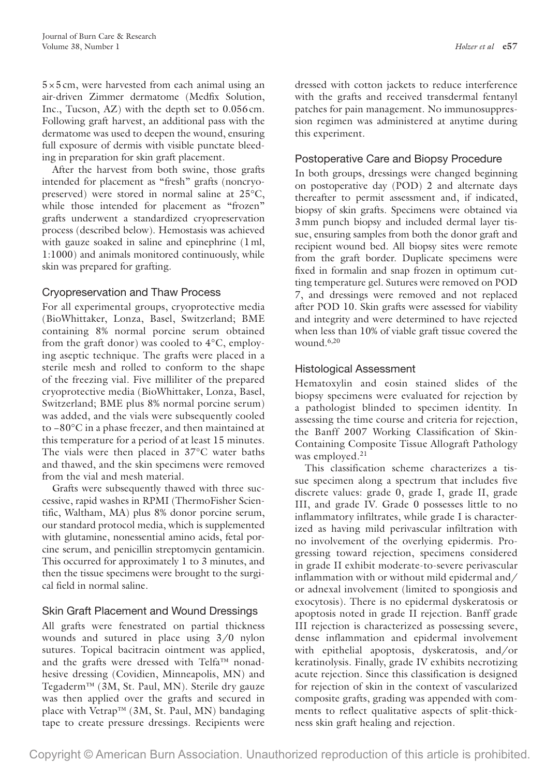$5\times5$  cm, were harvested from each animal using an air-driven Zimmer dermatome (Medfix Solution, Inc., Tucson, AZ) with the depth set to 0.056cm. Following graft harvest, an additional pass with the dermatome was used to deepen the wound, ensuring full exposure of dermis with visible punctate bleeding in preparation for skin graft placement.

After the harvest from both swine, those grafts intended for placement as "fresh" grafts (noncryopreserved) were stored in normal saline at 25°C, while those intended for placement as "frozen" grafts underwent a standardized cryopreservation process (described below). Hemostasis was achieved with gauze soaked in saline and epinephrine (1 ml, 1:1000) and animals monitored continuously, while skin was prepared for grafting.

#### Cryopreservation and Thaw Process

For all experimental groups, cryoprotective media (BioWhittaker, Lonza, Basel, Switzerland; BME containing 8% normal porcine serum obtained from the graft donor) was cooled to 4°C, employing aseptic technique. The grafts were placed in a sterile mesh and rolled to conform to the shape of the freezing vial. Five milliliter of the prepared cryoprotective media (BioWhittaker, Lonza, Basel, Switzerland; BME plus 8% normal porcine serum) was added, and the vials were subsequently cooled to −80°C in a phase freezer, and then maintained at this temperature for a period of at least 15 minutes. The vials were then placed in 37°C water baths and thawed, and the skin specimens were removed from the vial and mesh material.

Grafts were subsequently thawed with three successive, rapid washes in RPMI (ThermoFisher Scientific, Waltham, MA) plus 8% donor porcine serum, our standard protocol media, which is supplemented with glutamine, nonessential amino acids, fetal porcine serum, and penicillin streptomycin gentamicin. This occurred for approximately 1 to 3 minutes, and then the tissue specimens were brought to the surgical field in normal saline.

## Skin Graft Placement and Wound Dressings

All grafts were fenestrated on partial thickness wounds and sutured in place using 3/0 nylon sutures. Topical bacitracin ointment was applied, and the grafts were dressed with Telfa™ nonadhesive dressing (Covidien, Minneapolis, MN) and Tegaderm™ (3M, St. Paul, MN). Sterile dry gauze was then applied over the grafts and secured in place with Vetrap™ (3M, St. Paul, MN) bandaging tape to create pressure dressings. Recipients were

dressed with cotton jackets to reduce interference with the grafts and received transdermal fentanyl patches for pain management. No immunosuppression regimen was administered at anytime during this experiment.

## Postoperative Care and Biopsy Procedure

In both groups, dressings were changed beginning on postoperative day (POD) 2 and alternate days thereafter to permit assessment and, if indicated, biopsy of skin grafts. Specimens were obtained via 3mm punch biopsy and included dermal layer tissue, ensuring samples from both the donor graft and recipient wound bed. All biopsy sites were remote from the graft border. Duplicate specimens were fixed in formalin and snap frozen in optimum cutting temperature gel. Sutures were removed on POD 7, and dressings were removed and not replaced after POD 10. Skin grafts were assessed for viability and integrity and were determined to have rejected when less than 10% of viable graft tissue covered the wound.6,20

## Histological Assessment

Hematoxylin and eosin stained slides of the biopsy specimens were evaluated for rejection by a pathologist blinded to specimen identity. In assessing the time course and criteria for rejection, the Banff 2007 Working Classification of Skin-Containing Composite Tissue Allograft Pathology was employed.<sup>21</sup>

This classification scheme characterizes a tissue specimen along a spectrum that includes five discrete values: grade 0, grade I, grade II, grade III, and grade IV. Grade 0 possesses little to no inflammatory infiltrates, while grade I is characterized as having mild perivascular infiltration with no involvement of the overlying epidermis. Progressing toward rejection, specimens considered in grade II exhibit moderate-to-severe perivascular inflammation with or without mild epidermal and/ or adnexal involvement (limited to spongiosis and exocytosis). There is no epidermal dyskeratosis or apoptosis noted in grade II rejection. Banff grade III rejection is characterized as possessing severe, dense inflammation and epidermal involvement with epithelial apoptosis, dyskeratosis, and/or keratinolysis. Finally, grade IV exhibits necrotizing acute rejection. Since this classification is designed for rejection of skin in the context of vascularized composite grafts, grading was appended with comments to reflect qualitative aspects of split-thickness skin graft healing and rejection.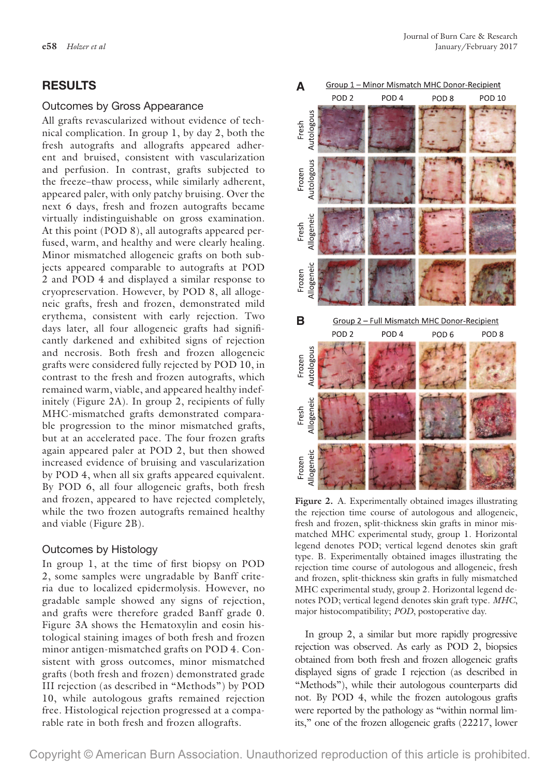## **RESULTS**

#### Outcomes by Gross Appearance

All grafts revascularized without evidence of technical complication. In group 1, by day 2, both the fresh autografts and allografts appeared adherent and bruised, consistent with vascularization and perfusion. In contrast, grafts subjected to the freeze–thaw process, while similarly adherent, appeared paler, with only patchy bruising. Over the next 6 days, fresh and frozen autografts became virtually indistinguishable on gross examination. At this point (POD 8), all autografts appeared perfused, warm, and healthy and were clearly healing. Minor mismatched allogeneic grafts on both subjects appeared comparable to autografts at POD 2 and POD 4 and displayed a similar response to cryopreservation. However, by POD 8, all allogeneic grafts, fresh and frozen, demonstrated mild erythema, consistent with early rejection. Two days later, all four allogeneic grafts had significantly darkened and exhibited signs of rejection and necrosis. Both fresh and frozen allogeneic grafts were considered fully rejected by POD 10, in contrast to the fresh and frozen autografts, which remained warm, viable, and appeared healthy indefinitely (Figure 2A). In group 2, recipients of fully MHC-mismatched grafts demonstrated comparable progression to the minor mismatched grafts, but at an accelerated pace. The four frozen grafts again appeared paler at POD 2, but then showed increased evidence of bruising and vascularization by POD 4, when all six grafts appeared equivalent. By POD 6, all four allogeneic grafts, both fresh and frozen, appeared to have rejected completely, while the two frozen autografts remained healthy and viable (Figure 2B).

#### Outcomes by Histology

In group 1, at the time of first biopsy on POD 2, some samples were ungradable by Banff criteria due to localized epidermolysis. However, no gradable sample showed any signs of rejection, and grafts were therefore graded Banff grade 0. Figure 3A shows the Hematoxylin and eosin histological staining images of both fresh and frozen minor antigen-mismatched grafts on POD 4. Consistent with gross outcomes, minor mismatched grafts (both fresh and frozen) demonstrated grade III rejection (as described in "Methods") by POD 10, while autologous grafts remained rejection free. Histological rejection progressed at a comparable rate in both fresh and frozen allografts.



**Figure 2.** A. Experimentally obtained images illustrating the rejection time course of autologous and allogeneic, fresh and frozen, split-thickness skin grafts in minor mismatched MHC experimental study, group 1. Horizontal legend denotes POD; vertical legend denotes skin graft type. B. Experimentally obtained images illustrating the rejection time course of autologous and allogeneic, fresh and frozen, split-thickness skin grafts in fully mismatched MHC experimental study, group 2. Horizontal legend denotes POD; vertical legend denotes skin graft type. *MHC*, major histocompatibility; *POD*, postoperative day.

In group 2, a similar but more rapidly progressive rejection was observed. As early as POD 2, biopsies obtained from both fresh and frozen allogeneic grafts displayed signs of grade I rejection (as described in "Methods"), while their autologous counterparts did not. By POD 4, while the frozen autologous grafts were reported by the pathology as "within normal limits," one of the frozen allogeneic grafts (22217, lower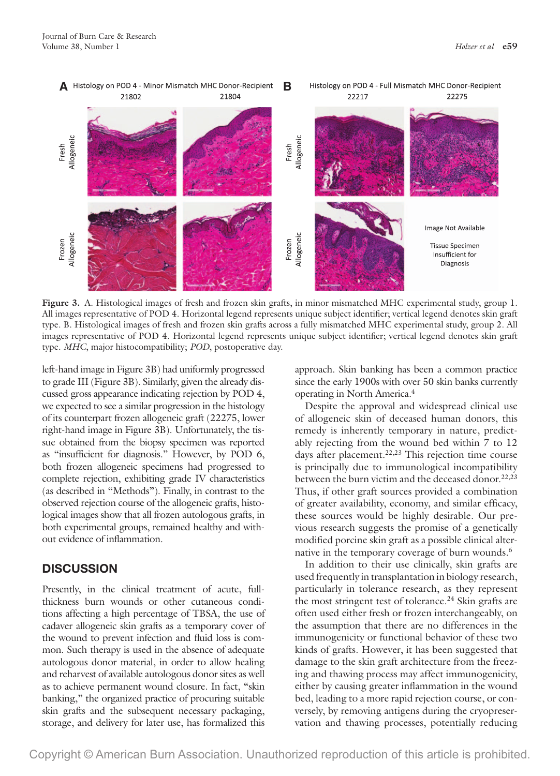

**Figure 3.** A. Histological images of fresh and frozen skin grafts, in minor mismatched MHC experimental study, group 1. All images representative of POD 4. Horizontal legend represents unique subject identifier; vertical legend denotes skin graft type. B. Histological images of fresh and frozen skin grafts across a fully mismatched MHC experimental study, group 2. All images representative of POD 4. Horizontal legend represents unique subject identifier; vertical legend denotes skin graft type. *MHC*, major histocompatibility; *POD*, postoperative day.

left-hand image in Figure 3B) had uniformly progressed to grade III (Figure 3B). Similarly, given the already discussed gross appearance indicating rejection by POD 4, we expected to see a similar progression in the histology of its counterpart frozen allogeneic graft (22275, lower right-hand image in Figure 3B). Unfortunately, the tissue obtained from the biopsy specimen was reported as "insufficient for diagnosis." However, by POD 6, both frozen allogeneic specimens had progressed to complete rejection, exhibiting grade IV characteristics (as described in "Methods"). Finally, in contrast to the observed rejection course of the allogeneic grafts, histological images show that all frozen autologous grafts, in both experimental groups, remained healthy and without evidence of inflammation.

# **DISCUSSION**

Presently, in the clinical treatment of acute, fullthickness burn wounds or other cutaneous conditions affecting a high percentage of TBSA, the use of cadaver allogeneic skin grafts as a temporary cover of the wound to prevent infection and fluid loss is common. Such therapy is used in the absence of adequate autologous donor material, in order to allow healing and reharvest of available autologous donor sites as well as to achieve permanent wound closure. In fact, "skin banking," the organized practice of procuring suitable skin grafts and the subsequent necessary packaging, storage, and delivery for later use, has formalized this

approach. Skin banking has been a common practice since the early 1900s with over 50 skin banks currently operating in North America.4

Despite the approval and widespread clinical use of allogeneic skin of deceased human donors, this remedy is inherently temporary in nature, predictably rejecting from the wound bed within 7 to 12 days after placement.<sup>22,23</sup> This rejection time course is principally due to immunological incompatibility between the burn victim and the deceased donor.<sup>22,23</sup> Thus, if other graft sources provided a combination of greater availability, economy, and similar efficacy, these sources would be highly desirable. Our previous research suggests the promise of a genetically modified porcine skin graft as a possible clinical alternative in the temporary coverage of burn wounds.<sup>6</sup>

In addition to their use clinically, skin grafts are used frequently in transplantation in biology research, particularly in tolerance research, as they represent the most stringent test of tolerance.<sup>24</sup> Skin grafts are often used either fresh or frozen interchangeably, on the assumption that there are no differences in the immunogenicity or functional behavior of these two kinds of grafts. However, it has been suggested that damage to the skin graft architecture from the freezing and thawing process may affect immunogenicity, either by causing greater inflammation in the wound bed, leading to a more rapid rejection course, or conversely, by removing antigens during the cryopreservation and thawing processes, potentially reducing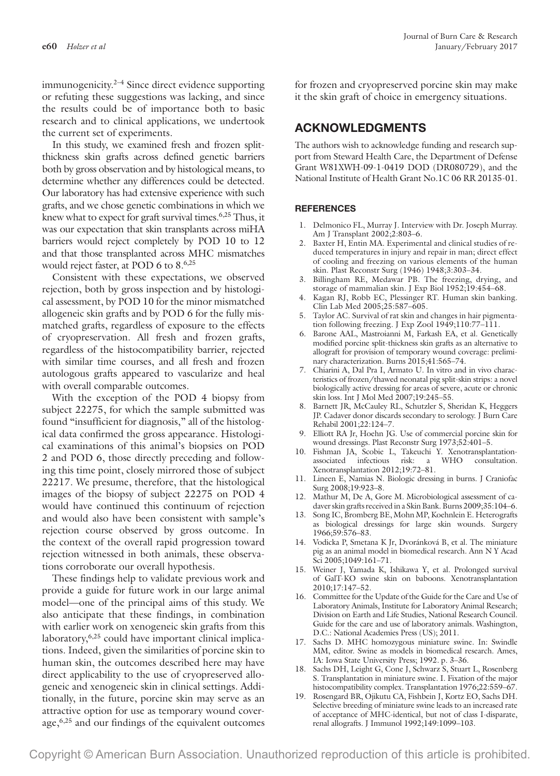immunogenicity. $2-4$  Since direct evidence supporting or refuting these suggestions was lacking, and since the results could be of importance both to basic research and to clinical applications, we undertook the current set of experiments.

In this study, we examined fresh and frozen splitthickness skin grafts across defined genetic barriers both by gross observation and by histological means, to determine whether any differences could be detected. Our laboratory has had extensive experience with such grafts, and we chose genetic combinations in which we knew what to expect for graft survival times.<sup>6,25</sup> Thus, it was our expectation that skin transplants across miHA barriers would reject completely by POD 10 to 12 and that those transplanted across MHC mismatches would reject faster, at POD 6 to 8.<sup>6,25</sup>

Consistent with these expectations, we observed rejection, both by gross inspection and by histological assessment, by POD 10 for the minor mismatched allogeneic skin grafts and by POD 6 for the fully mismatched grafts, regardless of exposure to the effects of cryopreservation. All fresh and frozen grafts, regardless of the histocompatibility barrier, rejected with similar time courses, and all fresh and frozen autologous grafts appeared to vascularize and heal with overall comparable outcomes.

With the exception of the POD 4 biopsy from subject 22275, for which the sample submitted was found "insufficient for diagnosis," all of the histological data confirmed the gross appearance. Histological examinations of this animal's biopsies on POD 2 and POD 6, those directly preceding and following this time point, closely mirrored those of subject 22217. We presume, therefore, that the histological images of the biopsy of subject 22275 on POD 4 would have continued this continuum of rejection and would also have been consistent with sample's rejection course observed by gross outcome. In the context of the overall rapid progression toward rejection witnessed in both animals, these observations corroborate our overall hypothesis.

These findings help to validate previous work and provide a guide for future work in our large animal model—one of the principal aims of this study. We also anticipate that these findings, in combination with earlier work on xenogeneic skin grafts from this laboratory,<sup>6,25</sup> could have important clinical implications. Indeed, given the similarities of porcine skin to human skin, the outcomes described here may have direct applicability to the use of cryopreserved allogeneic and xenogeneic skin in clinical settings. Additionally, in the future, porcine skin may serve as an attractive option for use as temporary wound coverage,6,25 and our findings of the equivalent outcomes

for frozen and cryopreserved porcine skin may make it the skin graft of choice in emergency situations.

# **ACKNOWLEDGMENTS**

The authors wish to acknowledge funding and research support from Steward Health Care, the Department of Defense Grant W81XWH-09-1-0419 DOD (DR080729), and the National Institute of Health Grant No.1C 06 RR 20135-01.

#### **REFERENCES**

- 1. Delmonico FL, Murray J. Interview with Dr. Joseph Murray. Am J Transplant 2002;2:803–6.
- 2. Baxter H, Entin MA. Experimental and clinical studies of reduced temperatures in injury and repair in man; direct effect of cooling and freezing on various elements of the human skin. Plast Reconstr Surg (1946) 1948;3:303–34.
- 3. Billingham RE, Medawar PB. The freezing, drying, and storage of mammalian skin. J Exp Biol 1952;19:454–68.
- 4. Kagan RJ, Robb EC, Plessinger RT. Human skin banking. Clin Lab Med 2005;25:587–605.
- 5. Taylor AC. Survival of rat skin and changes in hair pigmentation following freezing. J Exp Zool 1949;110:77–111.
- 6. Barone AAL, Mastroianni M, Farkash EA, et al. Genetically modified porcine split-thickness skin grafts as an alternative to allograft for provision of temporary wound coverage: preliminary characterization. Burns 2015;41:565–74.
- 7. Chiarini A, Dal Pra I, Armato U. In vitro and in vivo characteristics of frozen/thawed neonatal pig split-skin strips: a novel biologically active dressing for areas of severe, acute or chronic skin loss. Int J Mol Med 2007;19:245–55.
- 8. Barnett JR, McCauley RL, Schutzler S, Sheridan K, Heggers JP. Cadaver donor discards secondary to serology. J Burn Care Rehabil 2001;22:124–7.
- 9. Elliott RA Jr, Hoehn JG. Use of commercial porcine skin for wound dressings. Plast Reconstr Surg 1973;52:401–5.
- 10. Fishman JA, Scobie L, Takeuchi Y. Xenotransplantationassociated infectious risk: a WHO consultation. Xenotransplantation 2012;19:72–81.
- 11. Lineen E, Namias N. Biologic dressing in burns. J Craniofac Surg 2008;19:923–8.
- 12. Mathur M, De A, Gore M. Microbiological assessment of cadaver skin grafts received in a Skin Bank. Burns 2009;35:104–6.
- 13. Song IC, Bromberg BE, Mohn MP, Koehnlein E. Heterografts as biological dressings for large skin wounds. Surgery 1966;59:576–83.
- 14. Vodicka P, Smetana K Jr, Dvoránková B, et al. The miniature pig as an animal model in biomedical research. Ann N Y Acad Sci 2005;1049:161–71.
- 15. Weiner J, Yamada K, Ishikawa Y, et al. Prolonged survival of GalT-KO swine skin on baboons. Xenotransplantation 2010;17:147–52.
- 16. Committee for the Update of the Guide for the Care and Use of Laboratory Animals, Institute for Laboratory Animal Research; Division on Earth and Life Studies, National Research Council. Guide for the care and use of laboratory animals. Washington, D.C.: National Academies Press (US); 2011.
- 17. Sachs D. MHC homozygous miniature swine. In: Swindle MM, editor. Swine as models in biomedical research. Ames, IA: Iowa State University Press; 1992. p. 3–36.
- 18. Sachs DH, Leight G, Cone J, Schwarz S, Stuart L, Rosenberg S. Transplantation in miniature swine. I. Fixation of the major histocompatibility complex. Transplantation 1976;22:559–67.
- 19. Rosengard BR, Ojikutu CA, Fishbein J, Kortz EO, Sachs DH. Selective breeding of miniature swine leads to an increased rate of acceptance of MHC-identical, but not of class I-disparate, renal allografts. J Immunol 1992;149:1099–103.